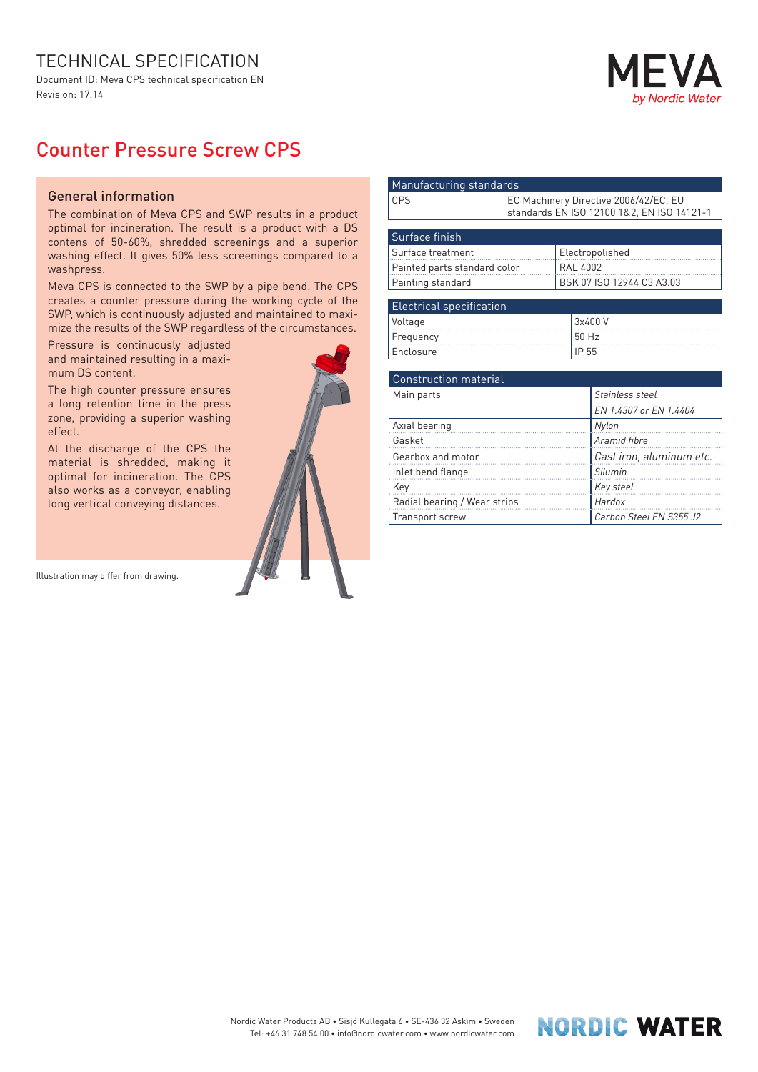## TECHNICAL SPECIFICATION

Document ID: Meva CPS technical specification EN Revision: 17.14



## Counter Pressure Screw CPS

## General information

The combination of Meva CPS and SWP results in a product optimal for incineration. The result is a product with a DS contens of 50-60%, shredded screenings and a superior washing effect. It gives 50% less screenings compared to a washpress.

Meva CPS is connected to the SWP by a pipe bend. The CPS creates a counter pressure during the working cycle of the SWP, which is continuously adjusted and maintained to maximize the results of the SWP regardless of the circumstances.

Pressure is continuously adjusted and maintained resulting in a maximum DS content.

The high counter pressure ensures a long retention time in the press zone, providing a superior washing effect.

At the discharge of the CPS the material is shredded, making it optimal for incineration. The CPS also works as a conveyor, enabling long vertical conveying distances.

Illustration may differ from drawing.



| Manufacturing standards         |                                                                                     |                           |         |                        |  |
|---------------------------------|-------------------------------------------------------------------------------------|---------------------------|---------|------------------------|--|
| <b>CPS</b>                      | EC Machinery Directive 2006/42/EC, EU<br>standards EN ISO 12100 1&2, EN ISO 14121-1 |                           |         |                        |  |
|                                 |                                                                                     |                           |         |                        |  |
| Surface finish                  |                                                                                     |                           |         |                        |  |
| Surface treatment               |                                                                                     | Electropolished           |         |                        |  |
| Painted parts standard color    |                                                                                     | <b>RAL 4002</b>           |         |                        |  |
| Painting standard               |                                                                                     | BSK 07 ISO 12944 C3 A3.03 |         |                        |  |
|                                 |                                                                                     |                           |         |                        |  |
| <b>Electrical specification</b> |                                                                                     |                           |         |                        |  |
| Voltage                         |                                                                                     |                           | 3x400 V |                        |  |
| Frequency                       |                                                                                     |                           | 50 Hz   |                        |  |
| Enclosure                       |                                                                                     |                           | IP 55   |                        |  |
|                                 |                                                                                     |                           |         |                        |  |
| <b>Construction material</b>    |                                                                                     |                           |         |                        |  |
| Main parts                      |                                                                                     |                           |         | Stainless steel        |  |
|                                 |                                                                                     |                           |         | EN 1.4307 or EN 1.4404 |  |
| Axial bearing                   |                                                                                     |                           |         | Nylon                  |  |
| $C_2$ ckot                      |                                                                                     |                           |         | Aromid fibro           |  |

| Gasket                       | Aramid fibre             |
|------------------------------|--------------------------|
| Gearbox and motor            | Cast iron, aluminum etc. |
| Inlet bend flange            | Silumin                  |
| Key                          | Key steel                |
| Radial bearing / Wear strips | <b>Hardox</b>            |
| Transport screw              | Carbon Steel EN S355 J2  |